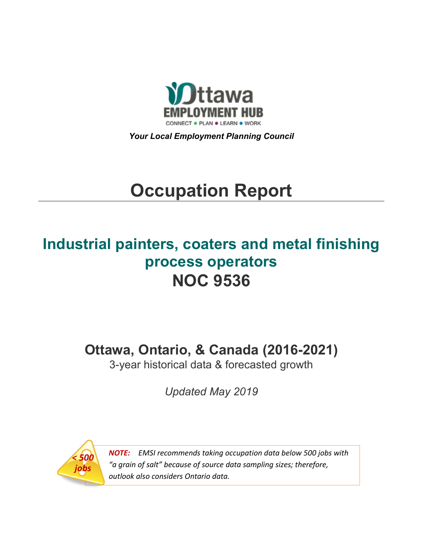

*Your Local Employment Planning Council*

# **Occupation Report**

# **Industrial painters, coaters and metal finishing process operators NOC 9536**

**Ottawa, Ontario, & Canada (2016-2021)**

3-year historical data & forecasted growth

*Updated May 2019*



*NOTE: EMSI recommends taking occupation data below 500 jobs with "a grain of salt" because of source data sampling sizes; therefore, outlook also considers Ontario data.*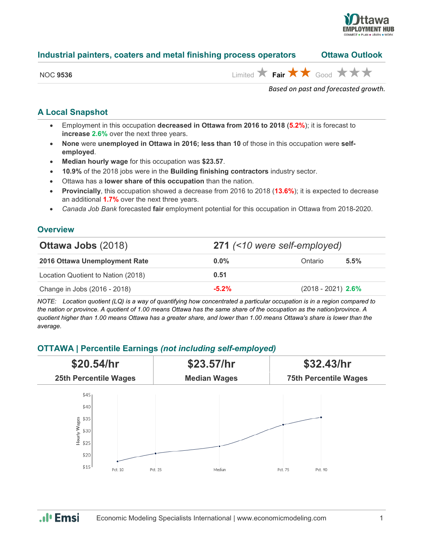

### **Industrial painters, coaters and metal finishing process operators Ottawa Outlook**

| NOC. | . 9536 |
|------|--------|
|      |        |

 $\lim_{\epsilon \to 0}$  **Fair**  $\star \star$  Good  $\star \star \star$ 

*Based on past and forecasted growth.*

## **A Local Snapshot**

- Employment in this occupation **decreased in Ottawa from 2016 to 2018** (**5.2%**); it is forecast to **increase 2.6%** over the next three years.
- **None** were **unemployed in Ottawa in 2016; less than 10** of those in this occupation were **selfemployed**.
- **Median hourly wage** for this occupation was **\$23.57**.
- **10.9%** of the 2018 jobs were in the **Building finishing contractors** industry sector.
- Ottawa has a **lower share of this occupation** than the nation.
- **Provincially**, this occupation showed a decrease from 2016 to 2018 (**13.6%**); it is expected to decrease an additional **1.7%** over the next three years.
- *Canada Job Bank* forecasted **fair** employment potential for this occupation in Ottawa from 2018-2020.

#### **Overview**

| <b>Ottawa Jobs (2018)</b>          |         | 271 (<10 were self-employed) |      |  |  |
|------------------------------------|---------|------------------------------|------|--|--|
| 2016 Ottawa Unemployment Rate      | $0.0\%$ | Ontario                      | 5.5% |  |  |
| Location Quotient to Nation (2018) | 0.51    |                              |      |  |  |
| Change in Jobs (2016 - 2018)       | $-5.2%$ | $(2018 - 2021)$ 2.6%         |      |  |  |

*NOTE: Location quotient (LQ) is a way of quantifying how concentrated a particular occupation is in a region compared to the nation or province. A quotient of 1.00 means Ottawa has the same share of the occupation as the nation/province. A quotient higher than 1.00 means Ottawa has a greater share, and lower than 1.00 means Ottawa's share is lower than the average.*

# **OTTAWA | Percentile Earnings** *(not including self-employed)*



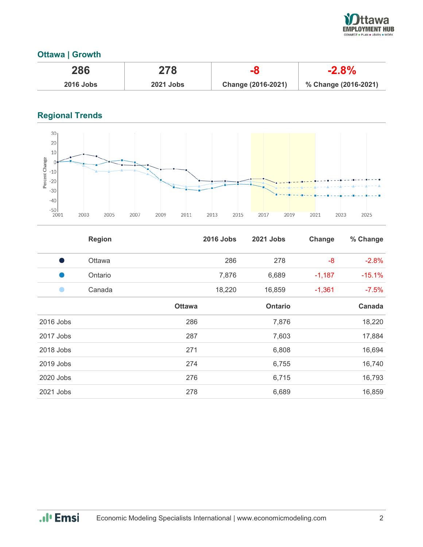

# **Ottawa | Growth**

| 286              | 278              |                    | $-2.8\%$             |
|------------------|------------------|--------------------|----------------------|
| <b>2016 Jobs</b> | <b>2021 Jobs</b> | Change (2016-2021) | % Change (2016-2021) |

# **Regional Trends**



|           | <b>Region</b> |               | <b>2016 Jobs</b> | 2021 Jobs      | Change   | % Change |
|-----------|---------------|---------------|------------------|----------------|----------|----------|
| - 1       | Ottawa        |               | 286              | 278            | -8       | $-2.8%$  |
| u.        | Ontario       |               | 7,876            | 6,689          | $-1,187$ | $-15.1%$ |
|           | Canada        |               | 18,220           | 16,859         | $-1,361$ | $-7.5%$  |
|           |               | <b>Ottawa</b> |                  | <b>Ontario</b> |          | Canada   |
| 2016 Jobs |               | 286           |                  | 7,876          |          | 18,220   |
| 2017 Jobs |               | 287           |                  | 7,603          |          | 17,884   |
| 2018 Jobs |               | 271           |                  | 6,808          |          | 16,694   |
| 2019 Jobs |               | 274           |                  | 6,755          |          | 16,740   |
| 2020 Jobs |               | 276           |                  | 6,715          |          | 16,793   |
| 2021 Jobs |               | 278           |                  | 6,689          |          | 16,859   |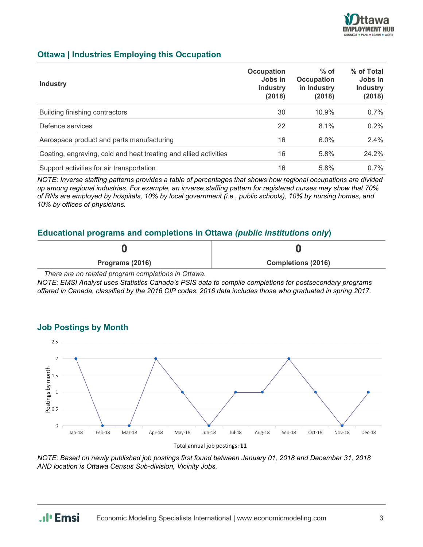

## **Ottawa | Industries Employing this Occupation**

| <b>Industry</b>                                                  | Occupation<br>Jobs in<br><b>Industry</b><br>(2018) | $%$ of<br><b>Occupation</b><br>in Industry<br>(2018) | % of Total<br>Jobs in<br><b>Industry</b><br>(2018) |
|------------------------------------------------------------------|----------------------------------------------------|------------------------------------------------------|----------------------------------------------------|
| Building finishing contractors                                   | 30                                                 | 10.9%                                                | 0.7%                                               |
| Defence services                                                 | 22                                                 | 8.1%                                                 | 0.2%                                               |
| Aerospace product and parts manufacturing                        | 16                                                 | 6.0%                                                 | 2.4%                                               |
| Coating, engraving, cold and heat treating and allied activities | 16                                                 | 5.8%                                                 | 24.2%                                              |
| Support activities for air transportation                        | 16                                                 | 5.8%                                                 | $0.7\%$                                            |

*NOTE: Inverse staffing patterns provides a table of percentages that shows how regional occupations are divided up among regional industries. For example, an inverse staffing pattern for registered nurses may show that 70% of RNs are employed by hospitals, 10% by local government (i.e., public schools), 10% by nursing homes, and 10% by offices of physicians.*

#### **Educational programs and completions in Ottawa** *(public institutions only***)**

| Programs (2016) | <b>Completions (2016)</b> |
|-----------------|---------------------------|

*There are no related program completions in Ottawa.*

*NOTE: EMSI Analyst uses Statistics Canada's PSIS data to compile completions for postsecondary programs offered in Canada, classified by the 2016 CIP codes. 2016 data includes those who graduated in spring 2017.*



#### **Job Postings by Month**

*NOTE: Based on newly published job postings first found between January 01, 2018 and December 31, 2018 AND location is Ottawa Census Sub-division, Vicinity Jobs.*